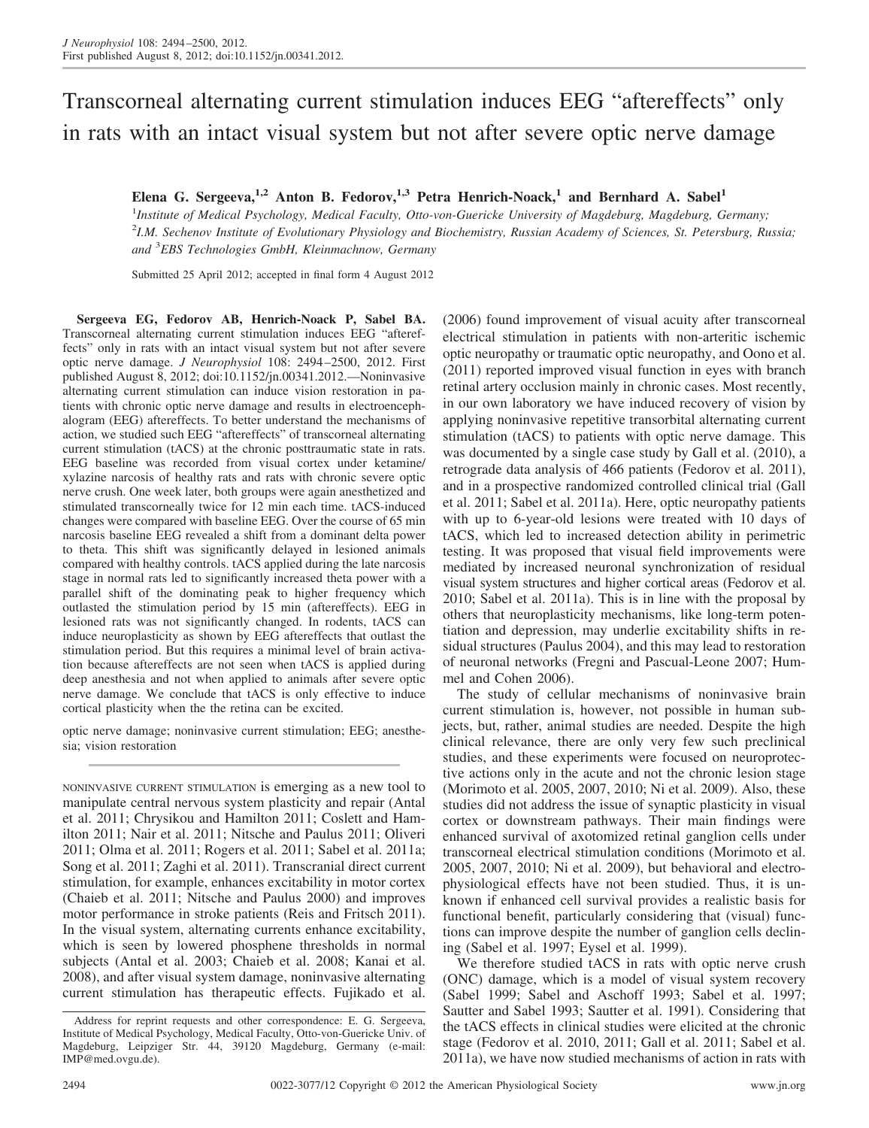# Transcorneal alternating current stimulation induces EEG "aftereffects" only in rats with an intact visual system but not after severe optic nerve damage

# **Elena G. Sergeeva,1,2 Anton B. Fedorov,1,3 Petra Henrich-Noack,<sup>1</sup> and Bernhard A. Sabel<sup>1</sup>**

1 *Institute of Medical Psychology, Medical Faculty, Otto-von-Guericke University of Magdeburg, Magdeburg, Germany;* 2 *I.M. Sechenov Institute of Evolutionary Physiology and Biochemistry, Russian Academy of Sciences, St. Petersburg, Russia; and* <sup>3</sup> *EBS Technologies GmbH, Kleinmachnow, Germany*

Submitted 25 April 2012; accepted in final form 4 August 2012

**Sergeeva EG, Fedorov AB, Henrich-Noack P, Sabel BA.** Transcorneal alternating current stimulation induces EEG "aftereffects" only in rats with an intact visual system but not after severe optic nerve damage. *J Neurophysiol* 108: 2494–2500, 2012. First published August 8, 2012; doi:10.1152/jn.00341.2012.—Noninvasive alternating current stimulation can induce vision restoration in patients with chronic optic nerve damage and results in electroencephalogram (EEG) aftereffects. To better understand the mechanisms of action, we studied such EEG "aftereffects" of transcorneal alternating current stimulation (tACS) at the chronic posttraumatic state in rats. EEG baseline was recorded from visual cortex under ketamine/ xylazine narcosis of healthy rats and rats with chronic severe optic nerve crush. One week later, both groups were again anesthetized and stimulated transcorneally twice for 12 min each time. tACS-induced changes were compared with baseline EEG. Over the course of 65 min narcosis baseline EEG revealed a shift from a dominant delta power to theta. This shift was significantly delayed in lesioned animals compared with healthy controls. tACS applied during the late narcosis stage in normal rats led to significantly increased theta power with a parallel shift of the dominating peak to higher frequency which outlasted the stimulation period by 15 min (aftereffects). EEG in lesioned rats was not significantly changed. In rodents, tACS can induce neuroplasticity as shown by EEG aftereffects that outlast the stimulation period. But this requires a minimal level of brain activation because aftereffects are not seen when tACS is applied during deep anesthesia and not when applied to animals after severe optic nerve damage. We conclude that tACS is only effective to induce cortical plasticity when the the retina can be excited.

optic nerve damage; noninvasive current stimulation; EEG; anesthesia; vision restoration

NONINVASIVE CURRENT STIMULATION is emerging as a new tool to manipulate central nervous system plasticity and repair (Antal et al. 2011; Chrysikou and Hamilton 2011; Coslett and Hamilton 2011; Nair et al. 2011; Nitsche and Paulus 2011; Oliveri 2011; Olma et al. 2011; Rogers et al. 2011; Sabel et al. 2011a; Song et al. 2011; Zaghi et al. 2011). Transcranial direct current stimulation, for example, enhances excitability in motor cortex (Chaieb et al. 2011; Nitsche and Paulus 2000) and improves motor performance in stroke patients (Reis and Fritsch 2011). In the visual system, alternating currents enhance excitability, which is seen by lowered phosphene thresholds in normal subjects (Antal et al. 2003; Chaieb et al. 2008; Kanai et al. 2008), and after visual system damage, noninvasive alternating current stimulation has therapeutic effects. Fujikado et al.

(2006) found improvement of visual acuity after transcorneal electrical stimulation in patients with non-arteritic ischemic optic neuropathy or traumatic optic neuropathy, and Oono et al. (2011) reported improved visual function in eyes with branch retinal artery occlusion mainly in chronic cases. Most recently, in our own laboratory we have induced recovery of vision by applying noninvasive repetitive transorbital alternating current stimulation (tACS) to patients with optic nerve damage. This was documented by a single case study by Gall et al. (2010), a retrograde data analysis of 466 patients (Fedorov et al. 2011), and in a prospective randomized controlled clinical trial (Gall et al. 2011; Sabel et al. 2011a). Here, optic neuropathy patients with up to 6-year-old lesions were treated with 10 days of tACS, which led to increased detection ability in perimetric testing. It was proposed that visual field improvements were mediated by increased neuronal synchronization of residual visual system structures and higher cortical areas (Fedorov et al. 2010; Sabel et al. 2011a). This is in line with the proposal by others that neuroplasticity mechanisms, like long-term potentiation and depression, may underlie excitability shifts in residual structures (Paulus 2004), and this may lead to restoration of neuronal networks (Fregni and Pascual-Leone 2007; Hummel and Cohen 2006).

The study of cellular mechanisms of noninvasive brain current stimulation is, however, not possible in human subjects, but, rather, animal studies are needed. Despite the high clinical relevance, there are only very few such preclinical studies, and these experiments were focused on neuroprotective actions only in the acute and not the chronic lesion stage (Morimoto et al. 2005, 2007, 2010; Ni et al. 2009). Also, these studies did not address the issue of synaptic plasticity in visual cortex or downstream pathways. Their main findings were enhanced survival of axotomized retinal ganglion cells under transcorneal electrical stimulation conditions (Morimoto et al. 2005, 2007, 2010; Ni et al. 2009), but behavioral and electrophysiological effects have not been studied. Thus, it is unknown if enhanced cell survival provides a realistic basis for functional benefit, particularly considering that (visual) functions can improve despite the number of ganglion cells declining (Sabel et al. 1997; Eysel et al. 1999).

We therefore studied tACS in rats with optic nerve crush (ONC) damage, which is a model of visual system recovery (Sabel 1999; Sabel and Aschoff 1993; Sabel et al. 1997; Sautter and Sabel 1993; Sautter et al. 1991). Considering that the tACS effects in clinical studies were elicited at the chronic stage (Fedorov et al. 2010, 2011; Gall et al. 2011; Sabel et al. 2011a), we have now studied mechanisms of action in rats with

Address for reprint requests and other correspondence: E. G. Sergeeva, Institute of Medical Psychology, Medical Faculty, Otto-von-Guericke Univ. of Magdeburg, Leipziger Str. 44, 39120 Magdeburg, Germany (e-mail: IMP@med.ovgu.de).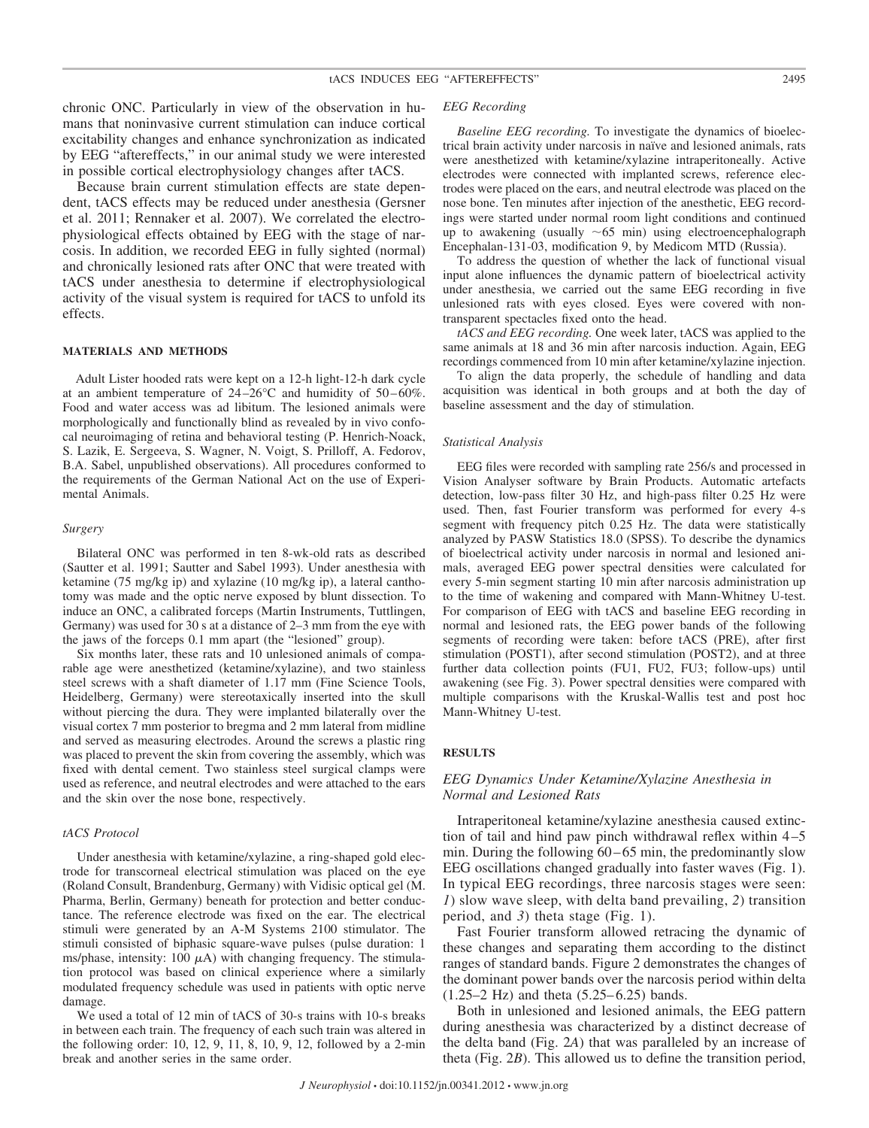chronic ONC. Particularly in view of the observation in humans that noninvasive current stimulation can induce cortical excitability changes and enhance synchronization as indicated by EEG "aftereffects," in our animal study we were interested in possible cortical electrophysiology changes after tACS.

Because brain current stimulation effects are state dependent, tACS effects may be reduced under anesthesia (Gersner et al. 2011; Rennaker et al. 2007). We correlated the electrophysiological effects obtained by EEG with the stage of narcosis. In addition, we recorded EEG in fully sighted (normal) and chronically lesioned rats after ONC that were treated with tACS under anesthesia to determine if electrophysiological activity of the visual system is required for tACS to unfold its effects.

### **MATERIALS AND METHODS**

Adult Lister hooded rats were kept on a 12-h light-12-h dark cycle at an ambient temperature of 24–26°C and humidity of 50–60%. Food and water access was ad libitum. The lesioned animals were morphologically and functionally blind as revealed by in vivo confocal neuroimaging of retina and behavioral testing (P. Henrich-Noack, S. Lazik, E. Sergeeva, S. Wagner, N. Voigt, S. Prilloff, A. Fedorov, B.A. Sabel, unpublished observations). All procedures conformed to the requirements of the German National Act on the use of Experimental Animals.

#### *Surgery*

Bilateral ONC was performed in ten 8-wk-old rats as described (Sautter et al. 1991; Sautter and Sabel 1993). Under anesthesia with ketamine (75 mg/kg ip) and xylazine (10 mg/kg ip), a lateral canthotomy was made and the optic nerve exposed by blunt dissection. To induce an ONC, a calibrated forceps (Martin Instruments, Tuttlingen, Germany) was used for 30 s at a distance of 2–3 mm from the eye with the jaws of the forceps 0.1 mm apart (the "lesioned" group).

Six months later, these rats and 10 unlesioned animals of comparable age were anesthetized (ketamine/xylazine), and two stainless steel screws with a shaft diameter of 1.17 mm (Fine Science Tools, Heidelberg, Germany) were stereotaxically inserted into the skull without piercing the dura. They were implanted bilaterally over the visual cortex 7 mm posterior to bregma and 2 mm lateral from midline and served as measuring electrodes. Around the screws a plastic ring was placed to prevent the skin from covering the assembly, which was fixed with dental cement. Two stainless steel surgical clamps were used as reference, and neutral electrodes and were attached to the ears and the skin over the nose bone, respectively.

#### *tACS Protocol*

Under anesthesia with ketamine/xylazine, a ring-shaped gold electrode for transcorneal electrical stimulation was placed on the eye (Roland Consult, Brandenburg, Germany) with Vidisic optical gel (M. Pharma, Berlin, Germany) beneath for protection and better conductance. The reference electrode was fixed on the ear. The electrical stimuli were generated by an A-M Systems 2100 stimulator. The stimuli consisted of biphasic square-wave pulses (pulse duration: 1 ms/phase, intensity: 100  $\mu$ A) with changing frequency. The stimulation protocol was based on clinical experience where a similarly modulated frequency schedule was used in patients with optic nerve damage.

We used a total of 12 min of tACS of 30-s trains with 10-s breaks in between each train. The frequency of each such train was altered in the following order: 10, 12, 9, 11, 8, 10, 9, 12, followed by a 2-min break and another series in the same order.

#### *EEG Recording*

*Baseline EEG recording.* To investigate the dynamics of bioelectrical brain activity under narcosis in naïve and lesioned animals, rats were anesthetized with ketamine/xylazine intraperitoneally. Active electrodes were connected with implanted screws, reference electrodes were placed on the ears, and neutral electrode was placed on the nose bone. Ten minutes after injection of the anesthetic, EEG recordings were started under normal room light conditions and continued up to awakening (usually  $\sim 65$  min) using electroencephalograph Encephalan-131-03, modification 9, by Medicom MTD (Russia).

To address the question of whether the lack of functional visual input alone influences the dynamic pattern of bioelectrical activity under anesthesia, we carried out the same EEG recording in five unlesioned rats with eyes closed. Eyes were covered with nontransparent spectacles fixed onto the head.

*tACS and EEG recording.* One week later, tACS was applied to the same animals at 18 and 36 min after narcosis induction. Again, EEG recordings commenced from 10 min after ketamine/xylazine injection.

To align the data properly, the schedule of handling and data acquisition was identical in both groups and at both the day of baseline assessment and the day of stimulation.

#### *Statistical Analysis*

EEG files were recorded with sampling rate 256/s and processed in Vision Analyser software by Brain Products. Automatic artefacts detection, low-pass filter 30 Hz, and high-pass filter 0.25 Hz were used. Then, fast Fourier transform was performed for every 4-s segment with frequency pitch 0.25 Hz. The data were statistically analyzed by PASW Statistics 18.0 (SPSS). To describe the dynamics of bioelectrical activity under narcosis in normal and lesioned animals, averaged EEG power spectral densities were calculated for every 5-min segment starting 10 min after narcosis administration up to the time of wakening and compared with Mann-Whitney U-test. For comparison of EEG with tACS and baseline EEG recording in normal and lesioned rats, the EEG power bands of the following segments of recording were taken: before tACS (PRE), after first stimulation (POST1), after second stimulation (POST2), and at three further data collection points (FU1, FU2, FU3; follow-ups) until awakening (see Fig. 3). Power spectral densities were compared with multiple comparisons with the Kruskal-Wallis test and post hoc Mann-Whitney U-test.

# **RESULTS**

# *EEG Dynamics Under Ketamine/Xylazine Anesthesia in Normal and Lesioned Rats*

Intraperitoneal ketamine/xylazine anesthesia caused extinction of tail and hind paw pinch withdrawal reflex within 4–5 min. During the following 60–65 min, the predominantly slow EEG oscillations changed gradually into faster waves (Fig. 1). In typical EEG recordings, three narcosis stages were seen: *1*) slow wave sleep, with delta band prevailing, *2*) transition period, and *3*) theta stage (Fig. 1).

Fast Fourier transform allowed retracing the dynamic of these changes and separating them according to the distinct ranges of standard bands. Figure 2 demonstrates the changes of the dominant power bands over the narcosis period within delta (1.25–2 Hz) and theta (5.25–6.25) bands.

Both in unlesioned and lesioned animals, the EEG pattern during anesthesia was characterized by a distinct decrease of the delta band (Fig. 2*A*) that was paralleled by an increase of theta (Fig. 2*B*). This allowed us to define the transition period,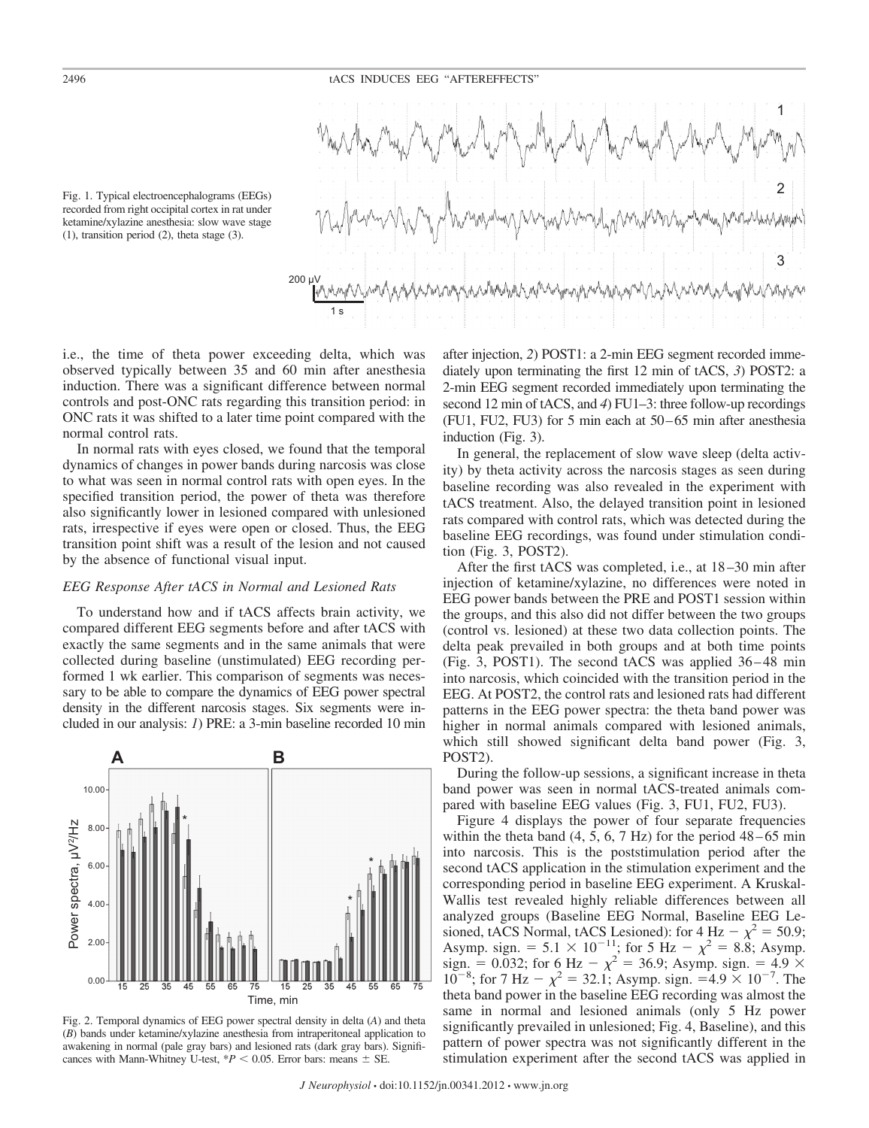# 2496 tACS INDUCES EEG "AFTEREFFECTS"



Fig. 1. Typical electroencephalograms (EEGs) recorded from right occipital cortex in rat under ketamine/xylazine anesthesia: slow wave stage (1), transition period (2), theta stage (3).

i.e., the time of theta power exceeding delta, which was observed typically between 35 and 60 min after anesthesia induction. There was a significant difference between normal controls and post-ONC rats regarding this transition period: in ONC rats it was shifted to a later time point compared with the normal control rats.

In normal rats with eyes closed, we found that the temporal dynamics of changes in power bands during narcosis was close to what was seen in normal control rats with open eyes. In the specified transition period, the power of theta was therefore also significantly lower in lesioned compared with unlesioned rats, irrespective if eyes were open or closed. Thus, the EEG transition point shift was a result of the lesion and not caused by the absence of functional visual input.

# *EEG Response After tACS in Normal and Lesioned Rats*

To understand how and if tACS affects brain activity, we compared different EEG segments before and after tACS with exactly the same segments and in the same animals that were collected during baseline (unstimulated) EEG recording performed 1 wk earlier. This comparison of segments was necessary to be able to compare the dynamics of EEG power spectral density in the different narcosis stages. Six segments were included in our analysis: *1*) PRE: a 3-min baseline recorded 10 min





after injection, *2*) POST1: a 2-min EEG segment recorded immediately upon terminating the first 12 min of tACS, *3*) POST2: a 2-min EEG segment recorded immediately upon terminating the second 12 min of tACS, and *4*) FU1–3: three follow-up recordings (FU1, FU2, FU3) for 5 min each at 50–65 min after anesthesia induction (Fig. 3).

In general, the replacement of slow wave sleep (delta activity) by theta activity across the narcosis stages as seen during baseline recording was also revealed in the experiment with tACS treatment. Also, the delayed transition point in lesioned rats compared with control rats, which was detected during the baseline EEG recordings, was found under stimulation condition (Fig. 3, POST2).

After the first tACS was completed, i.e., at 18–30 min after injection of ketamine/xylazine, no differences were noted in EEG power bands between the PRE and POST1 session within the groups, and this also did not differ between the two groups (control vs. lesioned) at these two data collection points. The delta peak prevailed in both groups and at both time points (Fig. 3, POST1). The second tACS was applied 36–48 min into narcosis, which coincided with the transition period in the EEG. At POST2, the control rats and lesioned rats had different patterns in the EEG power spectra: the theta band power was higher in normal animals compared with lesioned animals, which still showed significant delta band power (Fig. 3, POST2).

During the follow-up sessions, a significant increase in theta band power was seen in normal tACS-treated animals compared with baseline EEG values (Fig. 3, FU1, FU2, FU3).

Figure 4 displays the power of four separate frequencies within the theta band  $(4, 5, 6, 7 \text{ Hz})$  for the period  $48-65 \text{ min}$ into narcosis. This is the poststimulation period after the second tACS application in the stimulation experiment and the corresponding period in baseline EEG experiment. A Kruskal-Wallis test revealed highly reliable differences between all analyzed groups (Baseline EEG Normal, Baseline EEG Lesioned, tACS Normal, tACS Lesioned): for  $4 \text{ Hz} - \chi^2 = 50.9$ ; Asymp. sign. =  $5.1 \times 10^{-11}$ ; for  $5 \text{ Hz} - \chi^2 = 8.8$ ; Asymp. sign. = 0.032; for 6 Hz  $- \chi^2 = 36.9$ ; Asymp. sign. = 4.9  $\times$  $10^{-8}$ ; for 7 Hz  $- \chi^2 = 32.1$ ; Asymp. sign.  $= 4.9 \times 10^{-7}$ . The theta band power in the baseline EEG recording was almost the same in normal and lesioned animals (only 5 Hz power significantly prevailed in unlesioned; Fig. 4, Baseline), and this pattern of power spectra was not significantly different in the stimulation experiment after the second tACS was applied in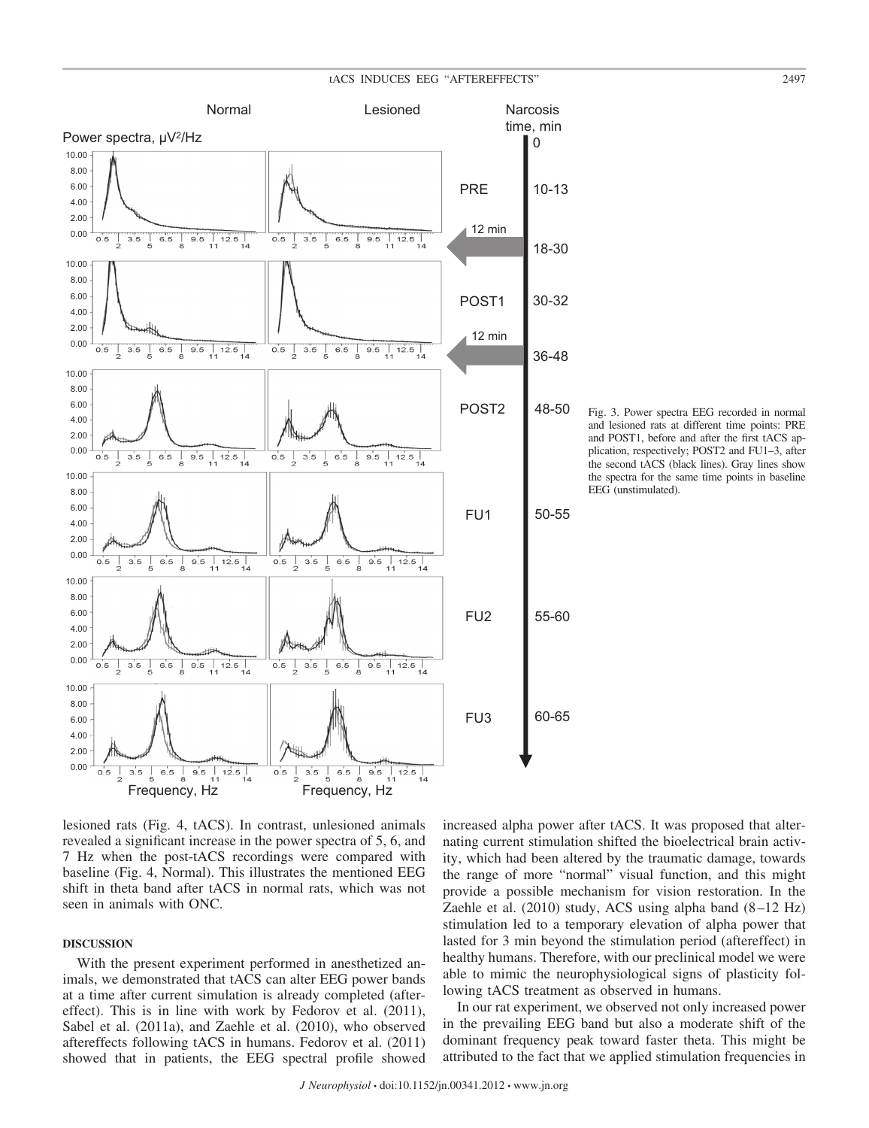

Fig. 3. Power spectra EEG recorded in normal and lesioned rats at different time points: PRE and POST1, before and after the first tACS application, respectively; POST2 and FU1–3, after the second tACS (black lines). Gray lines show the spectra for the same time points in baseline EEG (unstimulated).

lesioned rats (Fig. 4, tACS). In contrast, unlesioned animals revealed a significant increase in the power spectra of 5, 6, and 7 Hz when the post-tACS recordings were compared with baseline (Fig. 4, Normal). This illustrates the mentioned EEG shift in theta band after tACS in normal rats, which was not seen in animals with ONC.

# **DISCUSSION**

With the present experiment performed in anesthetized animals, we demonstrated that tACS can alter EEG power bands at a time after current simulation is already completed (aftereffect). This is in line with work by Fedorov et al. (2011), Sabel et al. (2011a), and Zaehle et al. (2010), who observed aftereffects following tACS in humans. Fedorov et al. (2011) showed that in patients, the EEG spectral profile showed increased alpha power after tACS. It was proposed that alternating current stimulation shifted the bioelectrical brain activity, which had been altered by the traumatic damage, towards the range of more "normal" visual function, and this might provide a possible mechanism for vision restoration. In the Zaehle et al. (2010) study, ACS using alpha band (8–12 Hz) stimulation led to a temporary elevation of alpha power that lasted for 3 min beyond the stimulation period (aftereffect) in healthy humans. Therefore, with our preclinical model we were able to mimic the neurophysiological signs of plasticity following tACS treatment as observed in humans.

In our rat experiment, we observed not only increased power in the prevailing EEG band but also a moderate shift of the dominant frequency peak toward faster theta. This might be attributed to the fact that we applied stimulation frequencies in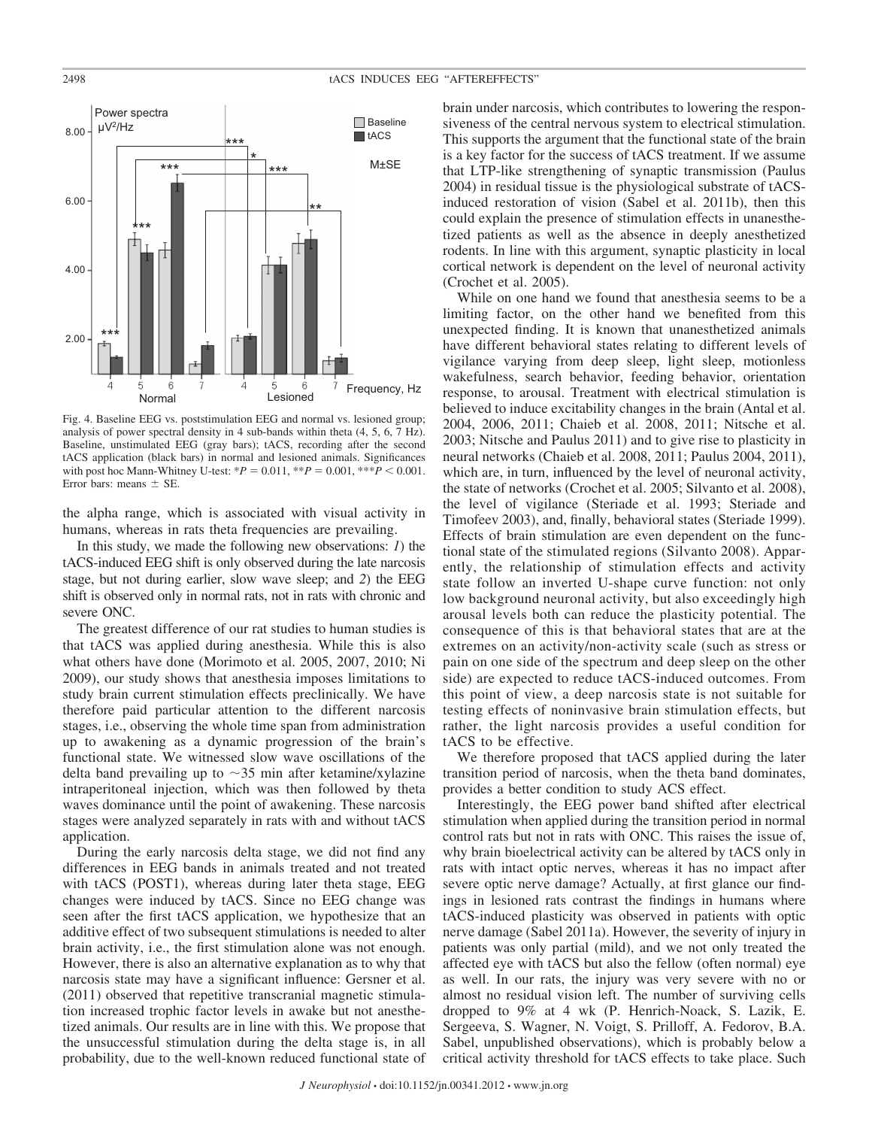

Fig. 4. Baseline EEG vs. poststimulation EEG and normal vs. lesioned group; analysis of power spectral density in 4 sub-bands within theta (4, 5, 6, 7 Hz). Baseline, unstimulated EEG (gray bars); tACS, recording after the second tACS application (black bars) in normal and lesioned animals. Significances with post hoc Mann-Whitney U-test:  $*P = 0.011$ ,  $* *P = 0.001$ ,  $* * *P < 0.001$ . Error bars: means  $\pm$  SE.

the alpha range, which is associated with visual activity in humans, whereas in rats theta frequencies are prevailing.

In this study, we made the following new observations: *1*) the tACS-induced EEG shift is only observed during the late narcosis stage, but not during earlier, slow wave sleep; and *2*) the EEG shift is observed only in normal rats, not in rats with chronic and severe ONC.

The greatest difference of our rat studies to human studies is that tACS was applied during anesthesia. While this is also what others have done (Morimoto et al. 2005, 2007, 2010; Ni 2009), our study shows that anesthesia imposes limitations to study brain current stimulation effects preclinically. We have therefore paid particular attention to the different narcosis stages, i.e., observing the whole time span from administration up to awakening as a dynamic progression of the brain's functional state. We witnessed slow wave oscillations of the delta band prevailing up to  $\sim$ 35 min after ketamine/xylazine intraperitoneal injection, which was then followed by theta waves dominance until the point of awakening. These narcosis stages were analyzed separately in rats with and without tACS application.

During the early narcosis delta stage, we did not find any differences in EEG bands in animals treated and not treated with tACS (POST1), whereas during later theta stage, EEG changes were induced by tACS. Since no EEG change was seen after the first tACS application, we hypothesize that an additive effect of two subsequent stimulations is needed to alter brain activity, i.e., the first stimulation alone was not enough. However, there is also an alternative explanation as to why that narcosis state may have a significant influence: Gersner et al. (2011) observed that repetitive transcranial magnetic stimulation increased trophic factor levels in awake but not anesthetized animals. Our results are in line with this. We propose that the unsuccessful stimulation during the delta stage is, in all probability, due to the well-known reduced functional state of

brain under narcosis, which contributes to lowering the responsiveness of the central nervous system to electrical stimulation. This supports the argument that the functional state of the brain is a key factor for the success of tACS treatment. If we assume that LTP-like strengthening of synaptic transmission (Paulus 2004) in residual tissue is the physiological substrate of tACSinduced restoration of vision (Sabel et al. 2011b), then this could explain the presence of stimulation effects in unanesthetized patients as well as the absence in deeply anesthetized rodents. In line with this argument, synaptic plasticity in local cortical network is dependent on the level of neuronal activity (Crochet et al. 2005).

While on one hand we found that anesthesia seems to be a limiting factor, on the other hand we benefited from this unexpected finding. It is known that unanesthetized animals have different behavioral states relating to different levels of vigilance varying from deep sleep, light sleep, motionless wakefulness, search behavior, feeding behavior, orientation response, to arousal. Treatment with electrical stimulation is believed to induce excitability changes in the brain (Antal et al. 2004, 2006, 2011; Chaieb et al. 2008, 2011; Nitsche et al. 2003; Nitsche and Paulus 2011) and to give rise to plasticity in neural networks (Chaieb et al. 2008, 2011; Paulus 2004, 2011), which are, in turn, influenced by the level of neuronal activity, the state of networks (Crochet et al. 2005; Silvanto et al. 2008), the level of vigilance (Steriade et al. 1993; Steriade and Timofeev 2003), and, finally, behavioral states (Steriade 1999). Effects of brain stimulation are even dependent on the functional state of the stimulated regions (Silvanto 2008). Apparently, the relationship of stimulation effects and activity state follow an inverted U-shape curve function: not only low background neuronal activity, but also exceedingly high arousal levels both can reduce the plasticity potential. The consequence of this is that behavioral states that are at the extremes on an activity/non-activity scale (such as stress or pain on one side of the spectrum and deep sleep on the other side) are expected to reduce tACS-induced outcomes. From this point of view, a deep narcosis state is not suitable for testing effects of noninvasive brain stimulation effects, but rather, the light narcosis provides a useful condition for tACS to be effective.

We therefore proposed that tACS applied during the later transition period of narcosis, when the theta band dominates, provides a better condition to study ACS effect.

Interestingly, the EEG power band shifted after electrical stimulation when applied during the transition period in normal control rats but not in rats with ONC. This raises the issue of, why brain bioelectrical activity can be altered by tACS only in rats with intact optic nerves, whereas it has no impact after severe optic nerve damage? Actually, at first glance our findings in lesioned rats contrast the findings in humans where tACS-induced plasticity was observed in patients with optic nerve damage (Sabel 2011a). However, the severity of injury in patients was only partial (mild), and we not only treated the affected eye with tACS but also the fellow (often normal) eye as well. In our rats, the injury was very severe with no or almost no residual vision left. The number of surviving cells dropped to 9% at 4 wk (P. Henrich-Noack, S. Lazik, E. Sergeeva, S. Wagner, N. Voigt, S. Prilloff, A. Fedorov, B.A. Sabel, unpublished observations), which is probably below a critical activity threshold for tACS effects to take place. Such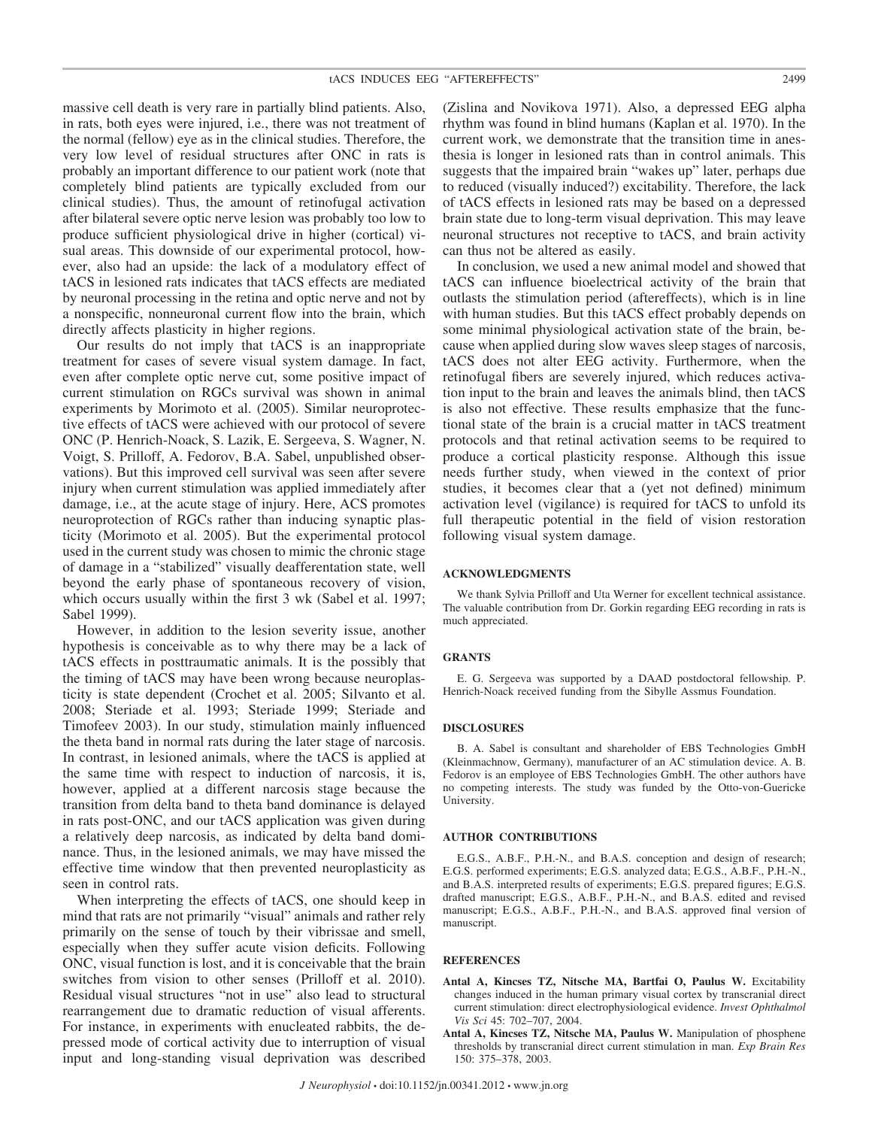massive cell death is very rare in partially blind patients. Also, in rats, both eyes were injured, i.e., there was not treatment of the normal (fellow) eye as in the clinical studies. Therefore, the very low level of residual structures after ONC in rats is probably an important difference to our patient work (note that completely blind patients are typically excluded from our clinical studies). Thus, the amount of retinofugal activation after bilateral severe optic nerve lesion was probably too low to produce sufficient physiological drive in higher (cortical) visual areas. This downside of our experimental protocol, however, also had an upside: the lack of a modulatory effect of tACS in lesioned rats indicates that tACS effects are mediated by neuronal processing in the retina and optic nerve and not by a nonspecific, nonneuronal current flow into the brain, which directly affects plasticity in higher regions.

Our results do not imply that tACS is an inappropriate treatment for cases of severe visual system damage. In fact, even after complete optic nerve cut, some positive impact of current stimulation on RGCs survival was shown in animal experiments by Morimoto et al. (2005). Similar neuroprotective effects of tACS were achieved with our protocol of severe ONC (P. Henrich-Noack, S. Lazik, E. Sergeeva, S. Wagner, N. Voigt, S. Prilloff, A. Fedorov, B.A. Sabel, unpublished observations). But this improved cell survival was seen after severe injury when current stimulation was applied immediately after damage, i.e., at the acute stage of injury. Here, ACS promotes neuroprotection of RGCs rather than inducing synaptic plasticity (Morimoto et al. 2005). But the experimental protocol used in the current study was chosen to mimic the chronic stage of damage in a "stabilized" visually deafferentation state, well beyond the early phase of spontaneous recovery of vision, which occurs usually within the first 3 wk (Sabel et al. 1997; Sabel 1999).

However, in addition to the lesion severity issue, another hypothesis is conceivable as to why there may be a lack of tACS effects in posttraumatic animals. It is the possibly that the timing of tACS may have been wrong because neuroplasticity is state dependent (Crochet et al. 2005; Silvanto et al. 2008; Steriade et al. 1993; Steriade 1999; Steriade and Timofeev 2003). In our study, stimulation mainly influenced the theta band in normal rats during the later stage of narcosis. In contrast, in lesioned animals, where the tACS is applied at the same time with respect to induction of narcosis, it is, however, applied at a different narcosis stage because the transition from delta band to theta band dominance is delayed in rats post-ONC, and our tACS application was given during a relatively deep narcosis, as indicated by delta band dominance. Thus, in the lesioned animals, we may have missed the effective time window that then prevented neuroplasticity as seen in control rats.

When interpreting the effects of tACS, one should keep in mind that rats are not primarily "visual" animals and rather rely primarily on the sense of touch by their vibrissae and smell, especially when they suffer acute vision deficits. Following ONC, visual function is lost, and it is conceivable that the brain switches from vision to other senses (Prilloff et al. 2010). Residual visual structures "not in use" also lead to structural rearrangement due to dramatic reduction of visual afferents. For instance, in experiments with enucleated rabbits, the depressed mode of cortical activity due to interruption of visual input and long-standing visual deprivation was described (Zislina and Novikova 1971). Also, a depressed EEG alpha rhythm was found in blind humans (Kaplan et al. 1970). In the current work, we demonstrate that the transition time in anesthesia is longer in lesioned rats than in control animals. This suggests that the impaired brain "wakes up" later, perhaps due to reduced (visually induced?) excitability. Therefore, the lack of tACS effects in lesioned rats may be based on a depressed brain state due to long-term visual deprivation. This may leave neuronal structures not receptive to tACS, and brain activity can thus not be altered as easily.

In conclusion, we used a new animal model and showed that tACS can influence bioelectrical activity of the brain that outlasts the stimulation period (aftereffects), which is in line with human studies. But this tACS effect probably depends on some minimal physiological activation state of the brain, because when applied during slow waves sleep stages of narcosis, tACS does not alter EEG activity. Furthermore, when the retinofugal fibers are severely injured, which reduces activation input to the brain and leaves the animals blind, then tACS is also not effective. These results emphasize that the functional state of the brain is a crucial matter in tACS treatment protocols and that retinal activation seems to be required to produce a cortical plasticity response. Although this issue needs further study, when viewed in the context of prior studies, it becomes clear that a (yet not defined) minimum activation level (vigilance) is required for tACS to unfold its full therapeutic potential in the field of vision restoration following visual system damage.

#### **ACKNOWLEDGMENTS**

We thank Sylvia Prilloff and Uta Werner for excellent technical assistance. The valuable contribution from Dr. Gorkin regarding EEG recording in rats is much appreciated.

# **GRANTS**

E. G. Sergeeva was supported by a DAAD postdoctoral fellowship. P. Henrich-Noack received funding from the Sibylle Assmus Foundation.

# **DISCLOSURES**

B. A. Sabel is consultant and shareholder of EBS Technologies GmbH (Kleinmachnow, Germany), manufacturer of an AC stimulation device. A. B. Fedorov is an employee of EBS Technologies GmbH. The other authors have no competing interests. The study was funded by the Otto-von-Guericke University.

# **AUTHOR CONTRIBUTIONS**

E.G.S., A.B.F., P.H.-N., and B.A.S. conception and design of research; E.G.S. performed experiments; E.G.S. analyzed data; E.G.S., A.B.F., P.H.-N., and B.A.S. interpreted results of experiments; E.G.S. prepared figures; E.G.S. drafted manuscript; E.G.S., A.B.F., P.H.-N., and B.A.S. edited and revised manuscript; E.G.S., A.B.F., P.H.-N., and B.A.S. approved final version of manuscript.

# **REFERENCES**

- **Antal A, Kincses TZ, Nitsche MA, Bartfai O, Paulus W.** Excitability changes induced in the human primary visual cortex by transcranial direct current stimulation: direct electrophysiological evidence. *Invest Ophthalmol Vis Sci* 45: 702–707, 2004.
- **Antal A, Kincses TZ, Nitsche MA, Paulus W.** Manipulation of phosphene thresholds by transcranial direct current stimulation in man. *Exp Brain Res* 150: 375–378, 2003.